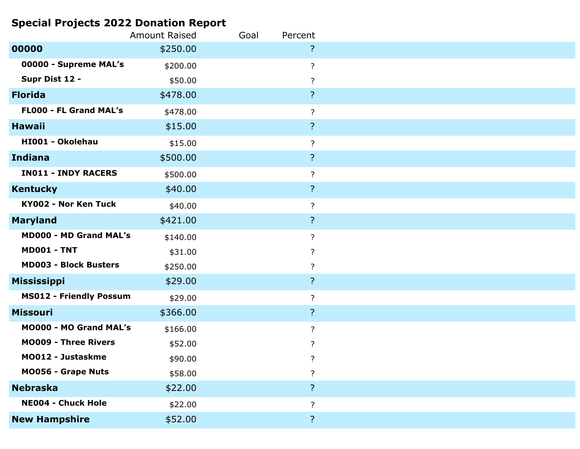## **Special Projects 2022 Donation Report**

|                                | <b>Amount Raised</b> | Goal | Percent                 |  |
|--------------------------------|----------------------|------|-------------------------|--|
| 00000                          | \$250.00             |      | ?                       |  |
| 00000 - Supreme MAL's          | \$200.00             |      | $\overline{?}$          |  |
| Supr Dist 12 -                 | \$50.00              |      | ?                       |  |
| <b>Florida</b>                 | \$478.00             |      | $\overline{?}$          |  |
| <b>FLOOO - FL Grand MAL's</b>  | \$478.00             |      | $\ddot{?}$              |  |
| <b>Hawaii</b>                  | \$15.00              |      | $\overline{?}$          |  |
| HI001 - Okolehau               | \$15.00              |      | $\overline{?}$          |  |
| <b>Indiana</b>                 | \$500.00             |      | $\overline{?}$          |  |
| <b>IN011 - INDY RACERS</b>     | \$500.00             |      | $\ddot{?}$              |  |
| <b>Kentucky</b>                | \$40.00              |      | $\overline{?}$          |  |
| <b>KY002 - Nor Ken Tuck</b>    | \$40.00              |      | ?                       |  |
| <b>Maryland</b>                | \$421.00             |      | $\overline{?}$          |  |
| <b>MD000 - MD Grand MAL's</b>  | \$140.00             |      | $\overline{?}$          |  |
| <b>MD001 - TNT</b>             | \$31.00              |      | ?                       |  |
| <b>MD003 - Block Busters</b>   | \$250.00             |      | $\ddot{?}$              |  |
| <b>Mississippi</b>             | \$29.00              |      | $\overline{?}$          |  |
| <b>MS012 - Friendly Possum</b> | \$29.00              |      | $\overline{?}$          |  |
| <b>Missouri</b>                | \$366.00             |      | $\overline{?}$          |  |
| <b>MO000 - MO Grand MAL's</b>  | \$166.00             |      | $\overline{?}$          |  |
| <b>MO009 - Three Rivers</b>    | \$52.00              |      | $\ddot{?}$              |  |
| MO012 - Justaskme              | \$90.00              |      | $\ddot{?}$              |  |
| MO056 - Grape Nuts             | \$58.00              |      | $\overline{?}$          |  |
| <b>Nebraska</b>                | \$22.00              |      | $\overline{\mathsf{S}}$ |  |
| <b>NE004 - Chuck Hole</b>      | \$22.00              |      | $\ddot{?}$              |  |
| <b>New Hampshire</b>           | \$52.00              |      | $\overline{?}$          |  |